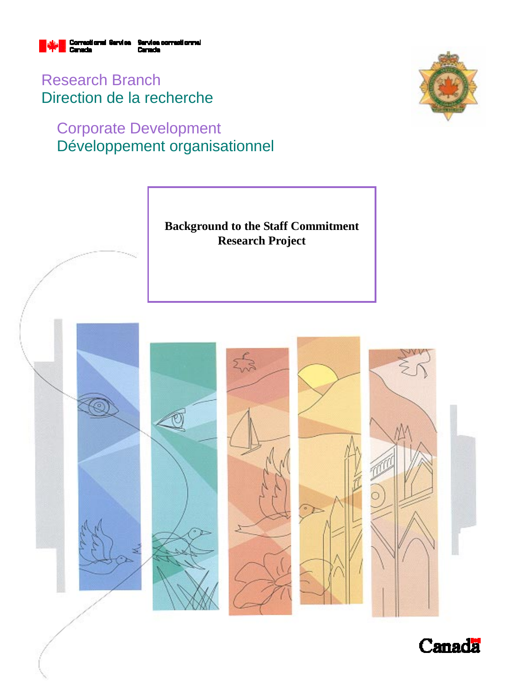

Research Branch Direction de la recherche

# Corporate Development Développement organisationnel





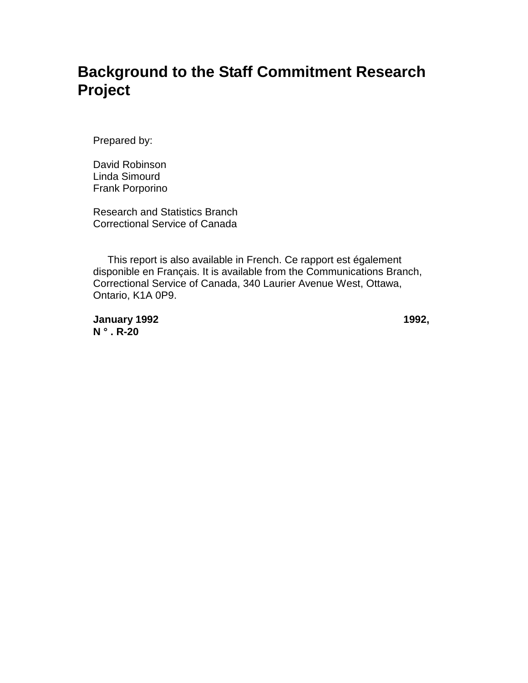# **Background to the Staff Commitment Research Project**

Prepared by:

David Robinson Linda Simourd Frank Porporino

Research and Statistics Branch Correctional Service of Canada

 This report is also available in French. Ce rapport est également disponible en Français. It is available from the Communications Branch, Correctional Service of Canada, 340 Laurier Avenue West, Ottawa, Ontario, K1A 0P9.

**January 1992** 1992, **N ° . R-20**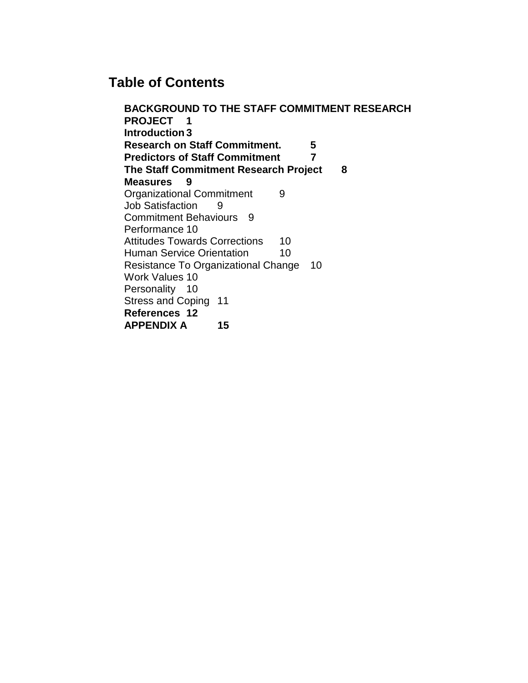## **Table of Contents**

**BACKGROUND TO THE STAFF COMMITMENT RESEARCH PROJECT 1 Introduction 3 Research on Staff Commitment. 5 Predictors of Staff Commitment 7 The Staff Commitment Research Project 8 Measures 9** Organizational Commitment 9 Job Satisfaction 9 Commitment Behaviours 9 Performance 10 Attitudes Towards Corrections 10 Human Service Orientation 10 Resistance To Organizational Change 10 Work Values 10 Personality 10 Stress and Coping 11 **References 12 APPENDIX A 15**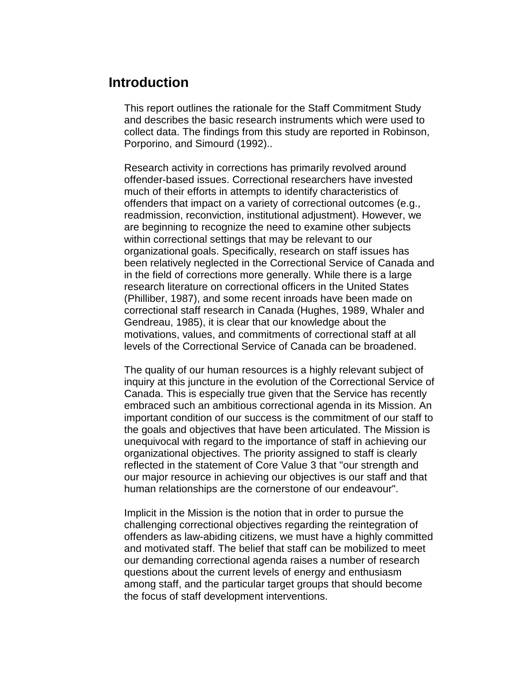## **Introduction**

This report outlines the rationale for the Staff Commitment Study and describes the basic research instruments which were used to collect data. The findings from this study are reported in Robinson, Porporino, and Simourd (1992)..

Research activity in corrections has primarily revolved around offender-based issues. Correctional researchers have invested much of their efforts in attempts to identify characteristics of offenders that impact on a variety of correctional outcomes (e.g., readmission, reconviction, institutional adjustment). However, we are beginning to recognize the need to examine other subjects within correctional settings that may be relevant to our organizational goals. Specifically, research on staff issues has been relatively neglected in the Correctional Service of Canada and in the field of corrections more generally. While there is a large research literature on correctional officers in the United States (Philliber, 1987), and some recent inroads have been made on correctional staff research in Canada (Hughes, 1989, Whaler and Gendreau, 1985), it is clear that our knowledge about the motivations, values, and commitments of correctional staff at all levels of the Correctional Service of Canada can be broadened.

The quality of our human resources is a highly relevant subject of inquiry at this juncture in the evolution of the Correctional Service of Canada. This is especially true given that the Service has recently embraced such an ambitious correctional agenda in its Mission. An important condition of our success is the commitment of our staff to the goals and objectives that have been articulated. The Mission is unequivocal with regard to the importance of staff in achieving our organizational objectives. The priority assigned to staff is clearly reflected in the statement of Core Value 3 that "our strength and our major resource in achieving our objectives is our staff and that human relationships are the cornerstone of our endeavour".

Implicit in the Mission is the notion that in order to pursue the challenging correctional objectives regarding the reintegration of offenders as law-abiding citizens, we must have a highly committed and motivated staff. The belief that staff can be mobilized to meet our demanding correctional agenda raises a number of research questions about the current levels of energy and enthusiasm among staff, and the particular target groups that should become the focus of staff development interventions.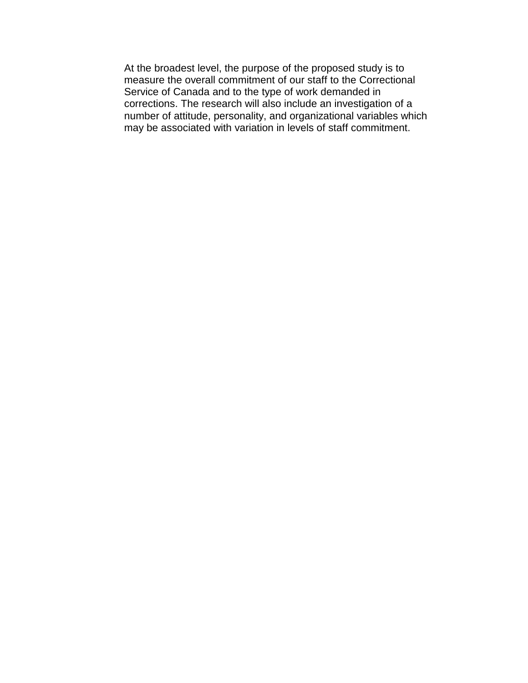At the broadest level, the purpose of the proposed study is to measure the overall commitment of our staff to the Correctional Service of Canada and to the type of work demanded in corrections. The research will also include an investigation of a number of attitude, personality, and organizational variables which may be associated with variation in levels of staff commitment.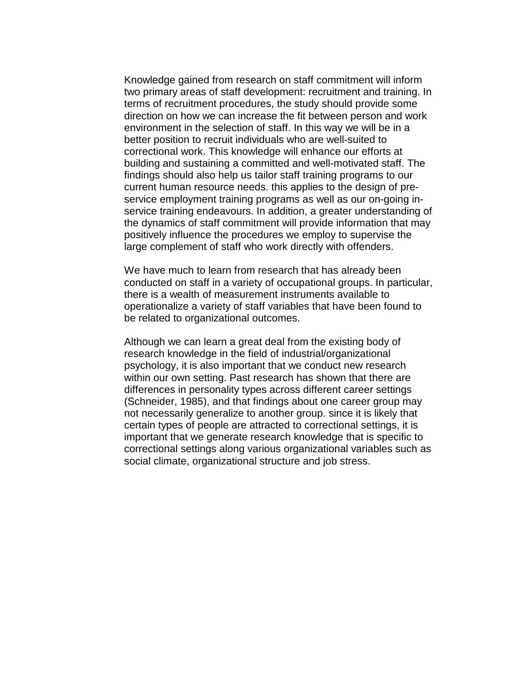Knowledge gained from research on staff commitment will inform two primary areas of staff development: recruitment and training. In terms of recruitment procedures, the study should provide some direction on how we can increase the fit between person and work environment in the selection of staff. In this way we will be in a better position to recruit individuals who are well-suited to correctional work. This knowledge will enhance our efforts at building and sustaining a committed and well-motivated staff. The findings should also help us tailor staff training programs to our current human resource needs. this applies to the design of preservice employment training programs as well as our on-going inservice training endeavours. In addition, a greater understanding of the dynamics of staff commitment will provide information that may positively influence the procedures we employ to supervise the large complement of staff who work directly with offenders.

We have much to learn from research that has already been conducted on staff in a variety of occupational groups. In particular, there is a wealth of measurement instruments available to operationalize a variety of staff variables that have been found to be related to organizational outcomes.

Although we can learn a great deal from the existing body of research knowledge in the field of industrial/organizational psychology, it is also important that we conduct new research within our own setting. Past research has shown that there are differences in personality types across different career settings (Schneider, 1985), and that findings about one career group may not necessarily generalize to another group. since it is likely that certain types of people are attracted to correctional settings, it is important that we generate research knowledge that is specific to correctional settings along various organizational variables such as social climate, organizational structure and job stress.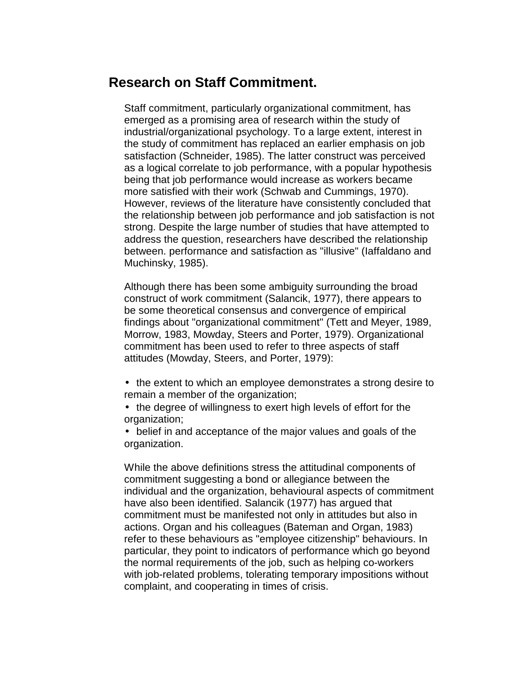## **Research on Staff Commitment.**

Staff commitment, particularly organizational commitment, has emerged as a promising area of research within the study of industrial/organizational psychology. To a large extent, interest in the study of commitment has replaced an earlier emphasis on job satisfaction (Schneider, 1985). The latter construct was perceived as a logical correlate to job performance, with a popular hypothesis being that job performance would increase as workers became more satisfied with their work (Schwab and Cummings, 1970). However, reviews of the literature have consistently concluded that the relationship between job performance and job satisfaction is not strong. Despite the large number of studies that have attempted to address the question, researchers have described the relationship between. performance and satisfaction as "illusive" (Iaffaldano and Muchinsky, 1985).

Although there has been some ambiguity surrounding the broad construct of work commitment (Salancik, 1977), there appears to be some theoretical consensus and convergence of empirical findings about "organizational commitment" (Tett and Meyer, 1989, Morrow, 1983, Mowday, Steers and Porter, 1979). Organizational commitment has been used to refer to three aspects of staff attitudes (Mowday, Steers, and Porter, 1979):

- the extent to which an employee demonstrates a strong desire to remain a member of the organization;
- the degree of willingness to exert high levels of effort for the organization;
- belief in and acceptance of the major values and goals of the organization.

While the above definitions stress the attitudinal components of commitment suggesting a bond or allegiance between the individual and the organization, behavioural aspects of commitment have also been identified. Salancik (1977) has argued that commitment must be manifested not only in attitudes but also in actions. Organ and his colleagues (Bateman and Organ, 1983) refer to these behaviours as "employee citizenship" behaviours. In particular, they point to indicators of performance which go beyond the normal requirements of the job, such as helping co-workers with job-related problems, tolerating temporary impositions without complaint, and cooperating in times of crisis.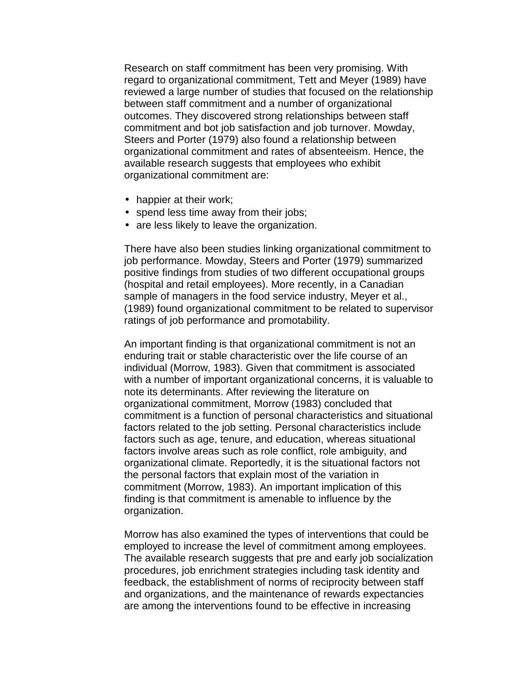Research on staff commitment has been very promising. With regard to organizational commitment, Tett and Meyer (1989) have reviewed a large number of studies that focused on the relationship between staff commitment and a number of organizational outcomes. They discovered strong relationships between staff commitment and bot job satisfaction and job turnover. Mowday, Steers and Porter (1979) also found a relationship between organizational commitment and rates of absenteeism. Hence, the available research suggests that employees who exhibit organizational commitment are:

- happier at their work;
- spend less time away from their jobs;
- are less likely to leave the organization.

There have also been studies linking organizational commitment to job performance. Mowday, Steers and Porter (1979) summarized positive findings from studies of two different occupational groups (hospital and retail employees). More recently, in a Canadian sample of managers in the food service industry, Meyer et al., (1989) found organizational commitment to be related to supervisor ratings of job performance and promotability.

An important finding is that organizational commitment is not an enduring trait or stable characteristic over the life course of an individual (Morrow, 1983). Given that commitment is associated with a number of important organizational concerns, it is valuable to note its determinants. After reviewing the literature on organizational commitment, Morrow (1983) concluded that commitment is a function of personal characteristics and situational factors related to the job setting. Personal characteristics include factors such as age, tenure, and education, whereas situational factors involve areas such as role conflict, role ambiguity, and organizational climate. Reportedly, it is the situational factors not the personal factors that explain most of the variation in commitment (Morrow, 1983). An important implication of this finding is that commitment is amenable to influence by the organization.

Morrow has also examined the types of interventions that could be employed to increase the level of commitment among employees. The available research suggests that pre and early job socialization procedures, job enrichment strategies including task identity and feedback, the establishment of norms of reciprocity between staff and organizations, and the maintenance of rewards expectancies are among the interventions found to be effective in increasing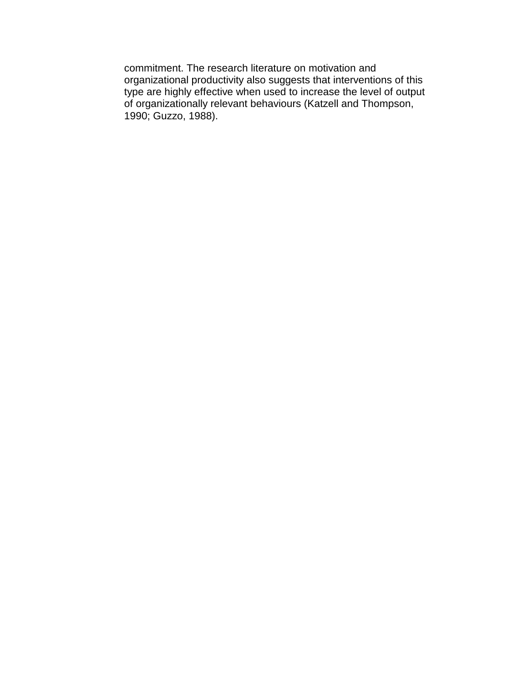commitment. The research literature on motivation and organizational productivity also suggests that interventions of this type are highly effective when used to increase the level of output of organizationally relevant behaviours (Katzell and Thompson, 1990; Guzzo, 1988).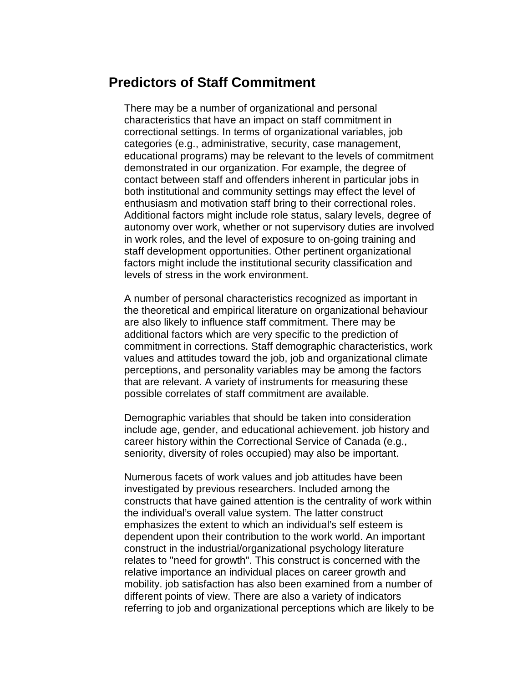## **Predictors of Staff Commitment**

There may be a number of organizational and personal characteristics that have an impact on staff commitment in correctional settings. In terms of organizational variables, job categories (e.g., administrative, security, case management, educational programs) may be relevant to the levels of commitment demonstrated in our organization. For example, the degree of contact between staff and offenders inherent in particular jobs in both institutional and community settings may effect the level of enthusiasm and motivation staff bring to their correctional roles. Additional factors might include role status, salary levels, degree of autonomy over work, whether or not supervisory duties are involved in work roles, and the level of exposure to on-going training and staff development opportunities. Other pertinent organizational factors might include the institutional security classification and levels of stress in the work environment.

A number of personal characteristics recognized as important in the theoretical and empirical literature on organizational behaviour are also likely to influence staff commitment. There may be additional factors which are very specific to the prediction of commitment in corrections. Staff demographic characteristics, work values and attitudes toward the job, job and organizational climate perceptions, and personality variables may be among the factors that are relevant. A variety of instruments for measuring these possible correlates of staff commitment are available.

Demographic variables that should be taken into consideration include age, gender, and educational achievement. job history and career history within the Correctional Service of Canada (e.g., seniority, diversity of roles occupied) may also be important.

Numerous facets of work values and job attitudes have been investigated by previous researchers. Included among the constructs that have gained attention is the centrality of work within the individual's overall value system. The latter construct emphasizes the extent to which an individual's self esteem is dependent upon their contribution to the work world. An important construct in the industrial/organizational psychology literature relates to "need for growth". This construct is concerned with the relative importance an individual places on career growth and mobility. job satisfaction has also been examined from a number of different points of view. There are also a variety of indicators referring to job and organizational perceptions which are likely to be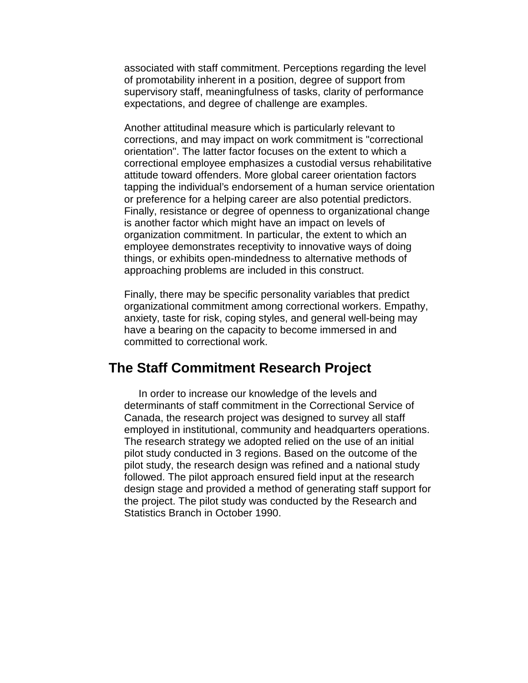associated with staff commitment. Perceptions regarding the level of promotability inherent in a position, degree of support from supervisory staff, meaningfulness of tasks, clarity of performance expectations, and degree of challenge are examples.

Another attitudinal measure which is particularly relevant to corrections, and may impact on work commitment is "correctional orientation". The latter factor focuses on the extent to which a correctional employee emphasizes a custodial versus rehabilitative attitude toward offenders. More global career orientation factors tapping the individual's endorsement of a human service orientation or preference for a helping career are also potential predictors. Finally, resistance or degree of openness to organizational change is another factor which might have an impact on levels of organization commitment. In particular, the extent to which an employee demonstrates receptivity to innovative ways of doing things, or exhibits open-mindedness to alternative methods of approaching problems are included in this construct.

Finally, there may be specific personality variables that predict organizational commitment among correctional workers. Empathy, anxiety, taste for risk, coping styles, and general well-being may have a bearing on the capacity to become immersed in and committed to correctional work.

## **The Staff Commitment Research Project**

 In order to increase our knowledge of the levels and determinants of staff commitment in the Correctional Service of Canada, the research project was designed to survey all staff employed in institutional, community and headquarters operations. The research strategy we adopted relied on the use of an initial pilot study conducted in 3 regions. Based on the outcome of the pilot study, the research design was refined and a national study followed. The pilot approach ensured field input at the research design stage and provided a method of generating staff support for the project. The pilot study was conducted by the Research and Statistics Branch in October 1990.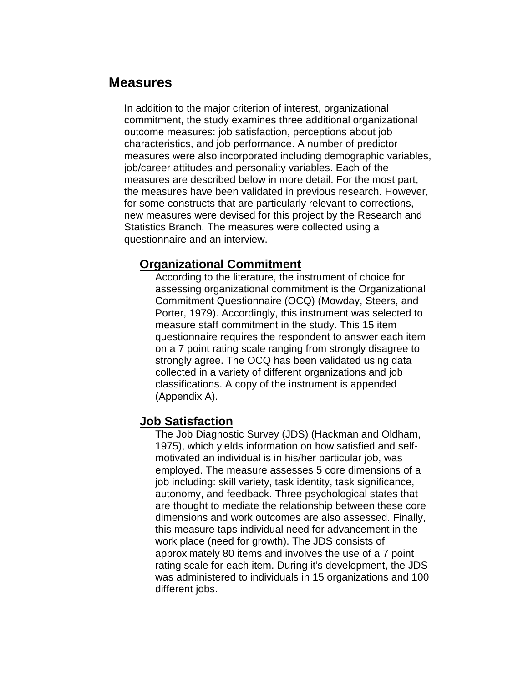## **Measures**

In addition to the major criterion of interest, organizational commitment, the study examines three additional organizational outcome measures: job satisfaction, perceptions about job characteristics, and job performance. A number of predictor measures were also incorporated including demographic variables, job/career attitudes and personality variables. Each of the measures are described below in more detail. For the most part, the measures have been validated in previous research. However, for some constructs that are particularly relevant to corrections, new measures were devised for this project by the Research and Statistics Branch. The measures were collected using a questionnaire and an interview.

#### **Organizational Commitment**

According to the literature, the instrument of choice for assessing organizational commitment is the Organizational Commitment Questionnaire (OCQ) (Mowday, Steers, and Porter, 1979). Accordingly, this instrument was selected to measure staff commitment in the study. This 15 item questionnaire requires the respondent to answer each item on a 7 point rating scale ranging from strongly disagree to strongly agree. The OCQ has been validated using data collected in a variety of different organizations and job classifications. A copy of the instrument is appended (Appendix A).

#### **Job Satisfaction**

The Job Diagnostic Survey (JDS) (Hackman and Oldham, 1975), which yields information on how satisfied and selfmotivated an individual is in his/her particular job, was employed. The measure assesses 5 core dimensions of a job including: skill variety, task identity, task significance, autonomy, and feedback. Three psychological states that are thought to mediate the relationship between these core dimensions and work outcomes are also assessed. Finally, this measure taps individual need for advancement in the work place (need for growth). The JDS consists of approximately 80 items and involves the use of a 7 point rating scale for each item. During it's development, the JDS was administered to individuals in 15 organizations and 100 different jobs.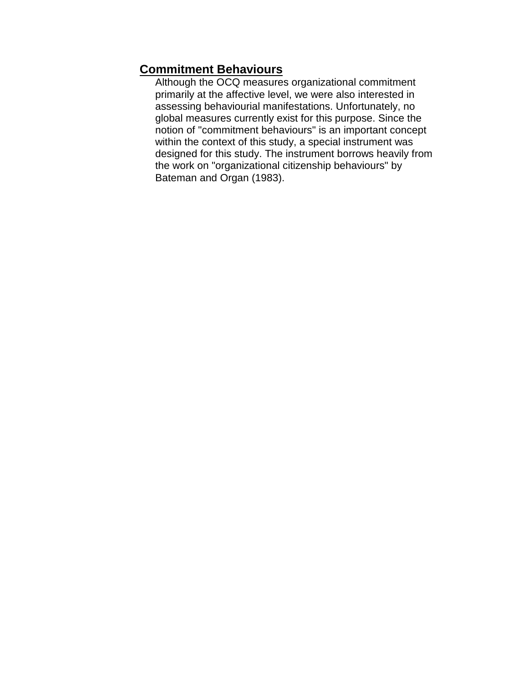## **Commitment Behaviours**

Although the OCQ measures organizational commitment primarily at the affective level, we were also interested in assessing behaviourial manifestations. Unfortunately, no global measures currently exist for this purpose. Since the notion of "commitment behaviours" is an important concept within the context of this study, a special instrument was designed for this study. The instrument borrows heavily from the work on "organizational citizenship behaviours" by Bateman and Organ (1983).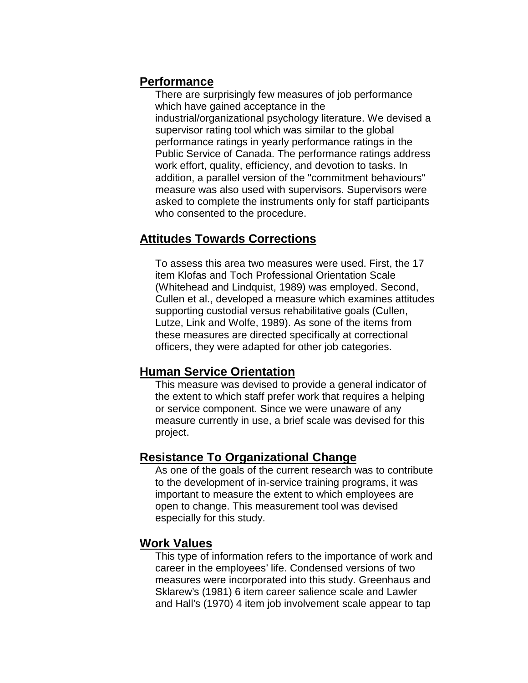#### **Performance**

There are surprisingly few measures of job performance which have gained acceptance in the industrial/organizational psychology literature. We devised a supervisor rating tool which was similar to the global performance ratings in yearly performance ratings in the Public Service of Canada. The performance ratings address work effort, quality, efficiency, and devotion to tasks. In addition, a parallel version of the "commitment behaviours" measure was also used with supervisors. Supervisors were asked to complete the instruments only for staff participants who consented to the procedure.

### **Attitudes Towards Corrections**

To assess this area two measures were used. First, the 17 item Klofas and Toch Professional Orientation Scale (Whitehead and Lindquist, 1989) was employed. Second, Cullen et al., developed a measure which examines attitudes supporting custodial versus rehabilitative goals (Cullen, Lutze, Link and Wolfe, 1989). As sone of the items from these measures are directed specifically at correctional officers, they were adapted for other job categories.

### **Human Service Orientation**

This measure was devised to provide a general indicator of the extent to which staff prefer work that requires a helping or service component. Since we were unaware of any measure currently in use, a brief scale was devised for this project.

### **Resistance To Organizational Change**

As one of the goals of the current research was to contribute to the development of in-service training programs, it was important to measure the extent to which employees are open to change. This measurement tool was devised especially for this study.

#### **Work Values**

This type of information refers to the importance of work and career in the employees' life. Condensed versions of two measures were incorporated into this study. Greenhaus and Sklarew's (1981) 6 item career salience scale and Lawler and Hall's (1970) 4 item job involvement scale appear to tap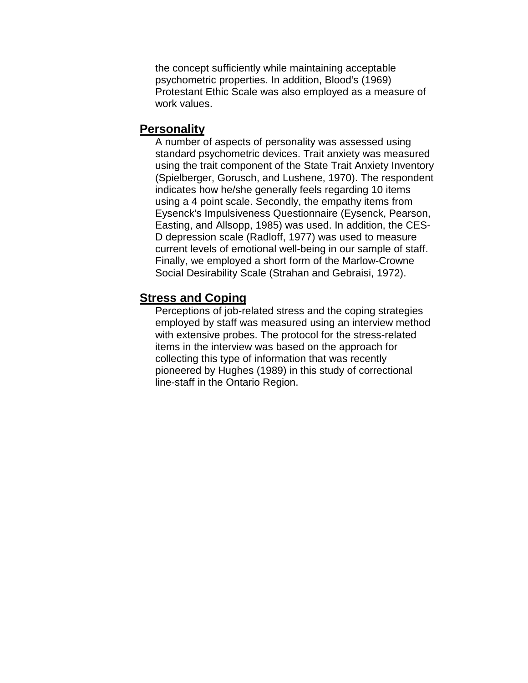the concept sufficiently while maintaining acceptable psychometric properties. In addition, Blood's (1969) Protestant Ethic Scale was also employed as a measure of work values.

#### **Personality**

A number of aspects of personality was assessed using standard psychometric devices. Trait anxiety was measured using the trait component of the State Trait Anxiety Inventory (Spielberger, Gorusch, and Lushene, 1970). The respondent indicates how he/she generally feels regarding 10 items using a 4 point scale. Secondly, the empathy items from Eysenck's Impulsiveness Questionnaire (Eysenck, Pearson, Easting, and Allsopp, 1985) was used. In addition, the CES-D depression scale (Radloff, 1977) was used to measure current levels of emotional well-being in our sample of staff. Finally, we employed a short form of the Marlow-Crowne Social Desirability Scale (Strahan and Gebraisi, 1972).

#### **Stress and Coping**

Perceptions of job-related stress and the coping strategies employed by staff was measured using an interview method with extensive probes. The protocol for the stress-related items in the interview was based on the approach for collecting this type of information that was recently pioneered by Hughes (1989) in this study of correctional line-staff in the Ontario Region.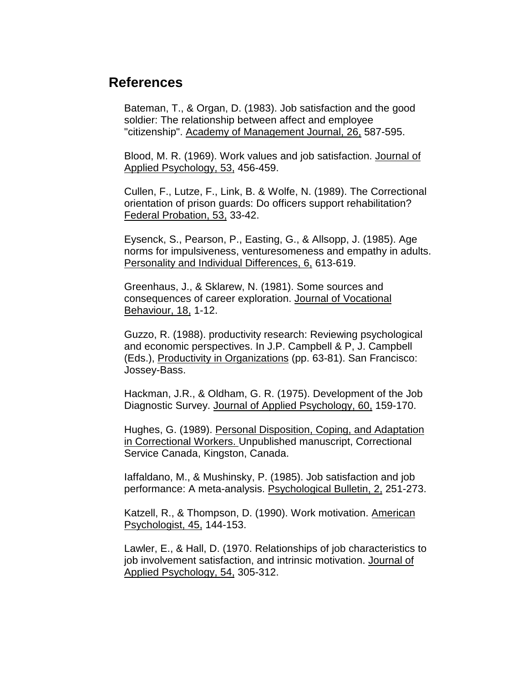## **References**

Bateman, T., & Organ, D. (1983). Job satisfaction and the good soldier: The relationship between affect and employee "citizenship". Academy of Management Journal, 26, 587-595.

Blood, M. R. (1969). Work values and job satisfaction. Journal of Applied Psychology, 53, 456-459.

Cullen, F., Lutze, F., Link, B. & Wolfe, N. (1989). The Correctional orientation of prison guards: Do officers support rehabilitation? Federal Probation, 53, 33-42.

Eysenck, S., Pearson, P., Easting, G., & Allsopp, J. (1985). Age norms for impulsiveness, venturesomeness and empathy in adults. Personality and Individual Differences, 6, 613-619.

Greenhaus, J., & Sklarew, N. (1981). Some sources and consequences of career exploration. Journal of Vocational Behaviour, 18, 1-12.

Guzzo, R. (1988). productivity research: Reviewing psychological and economic perspectives. In J.P. Campbell & P, J. Campbell (Eds.), Productivity in Organizations (pp. 63-81). San Francisco: Jossey-Bass.

Hackman, J.R., & Oldham, G. R. (1975). Development of the Job Diagnostic Survey. Journal of Applied Psychology, 60, 159-170.

Hughes, G. (1989). Personal Disposition, Coping, and Adaptation in Correctional Workers. Unpublished manuscript, Correctional Service Canada, Kingston, Canada.

Iaffaldano, M., & Mushinsky, P. (1985). Job satisfaction and job performance: A meta-analysis. Psychological Bulletin, 2, 251-273.

Katzell, R., & Thompson, D. (1990). Work motivation. American Psychologist, 45, 144-153.

Lawler, E., & Hall, D. (1970. Relationships of job characteristics to job involvement satisfaction, and intrinsic motivation. Journal of Applied Psychology, 54, 305-312.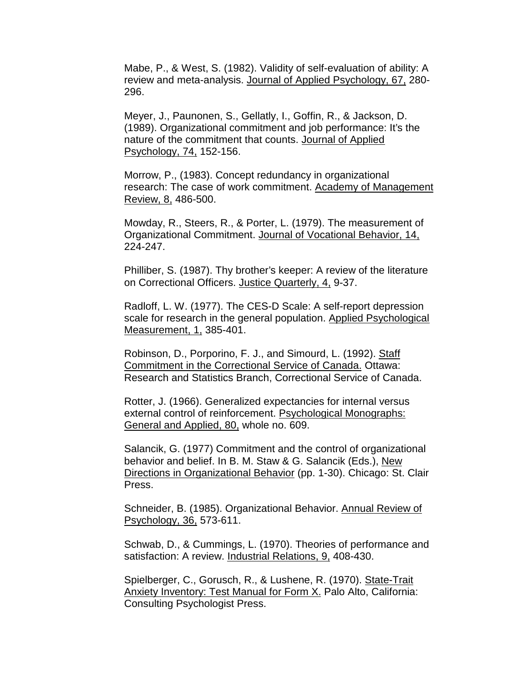Mabe, P., & West, S. (1982). Validity of self-evaluation of ability: A review and meta-analysis. Journal of Applied Psychology, 67, 280- 296.

Meyer, J., Paunonen, S., Gellatly, I., Goffin, R., & Jackson, D. (1989). Organizational commitment and job performance: It's the nature of the commitment that counts. Journal of Applied Psychology, 74, 152-156.

Morrow, P., (1983). Concept redundancy in organizational research: The case of work commitment. Academy of Management Review, 8, 486-500.

Mowday, R., Steers, R., & Porter, L. (1979). The measurement of Organizational Commitment. Journal of Vocational Behavior, 14, 224-247.

Philliber, S. (1987). Thy brother's keeper: A review of the literature on Correctional Officers. Justice Quarterly, 4, 9-37.

Radloff, L. W. (1977). The CES-D Scale: A self-report depression scale for research in the general population. Applied Psychological Measurement, 1, 385-401.

Robinson, D., Porporino, F. J., and Simourd, L. (1992). Staff Commitment in the Correctional Service of Canada. Ottawa: Research and Statistics Branch, Correctional Service of Canada.

Rotter, J. (1966). Generalized expectancies for internal versus external control of reinforcement. Psychological Monographs: General and Applied, 80, whole no. 609.

Salancik, G. (1977) Commitment and the control of organizational behavior and belief. In B. M. Staw & G. Salancik (Eds.), New Directions in Organizational Behavior (pp. 1-30). Chicago: St. Clair Press.

Schneider, B. (1985). Organizational Behavior. Annual Review of Psychology, 36, 573-611.

Schwab, D., & Cummings, L. (1970). Theories of performance and satisfaction: A review. Industrial Relations, 9, 408-430.

Spielberger, C., Gorusch, R., & Lushene, R. (1970). State-Trait Anxiety Inventory: Test Manual for Form X. Palo Alto, California: Consulting Psychologist Press.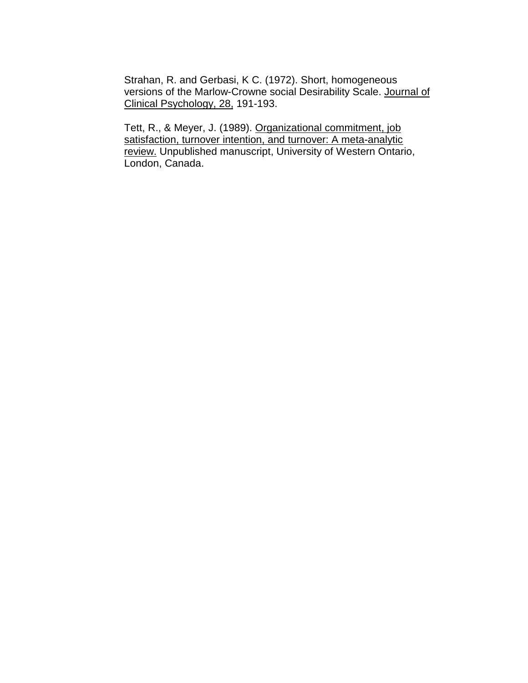Strahan, R. and Gerbasi, K C. (1972). Short, homogeneous versions of the Marlow-Crowne social Desirability Scale. Journal of Clinical Psychology, 28, 191-193.

Tett, R., & Meyer, J. (1989). Organizational commitment, job satisfaction, turnover intention, and turnover: A meta-analytic review. Unpublished manuscript, University of Western Ontario, London, Canada.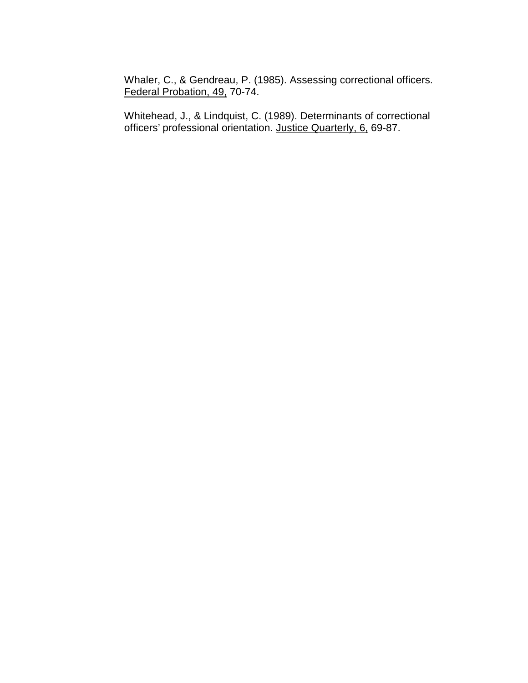Whaler, C., & Gendreau, P. (1985). Assessing correctional officers. Federal Probation, 49, 70-74.

Whitehead, J., & Lindquist, C. (1989). Determinants of correctional officers' professional orientation. Justice Quarterly, 6, 69-87.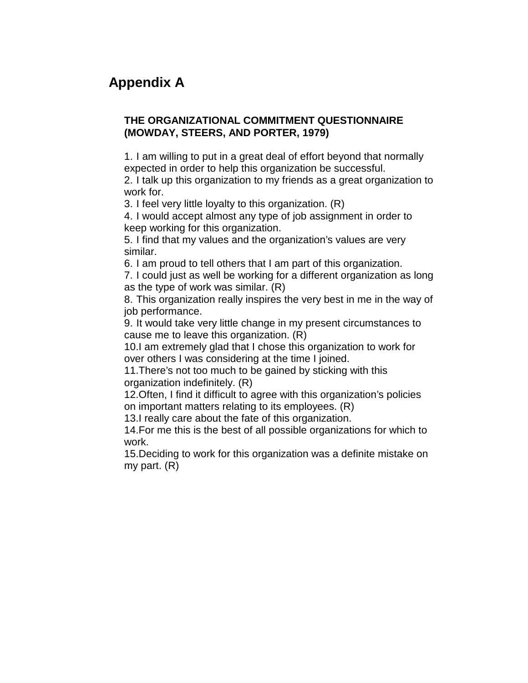# **Appendix A**

#### **THE ORGANIZATIONAL COMMITMENT QUESTIONNAIRE (MOWDAY, STEERS, AND PORTER, 1979)**

1. I am willing to put in a great deal of effort beyond that normally expected in order to help this organization be successful.

2. I talk up this organization to my friends as a great organization to work for.

3. I feel very little loyalty to this organization. (R)

4. I would accept almost any type of job assignment in order to keep working for this organization.

5. I find that my values and the organization's values are very similar.

6. I am proud to tell others that I am part of this organization.

7. I could just as well be working for a different organization as long as the type of work was similar. (R)

8. This organization really inspires the very best in me in the way of job performance.

9. It would take very little change in my present circumstances to cause me to leave this organization. (R)

10. I am extremely glad that I chose this organization to work for over others I was considering at the time I joined.

11. There's not too much to be gained by sticking with this organization indefinitely. (R)

12. Often, I find it difficult to agree with this organization's policies on important matters relating to its employees. (R)

13. I really care about the fate of this organization.

14. For me this is the best of all possible organizations for which to work.

15. Deciding to work for this organization was a definite mistake on my part. (R)